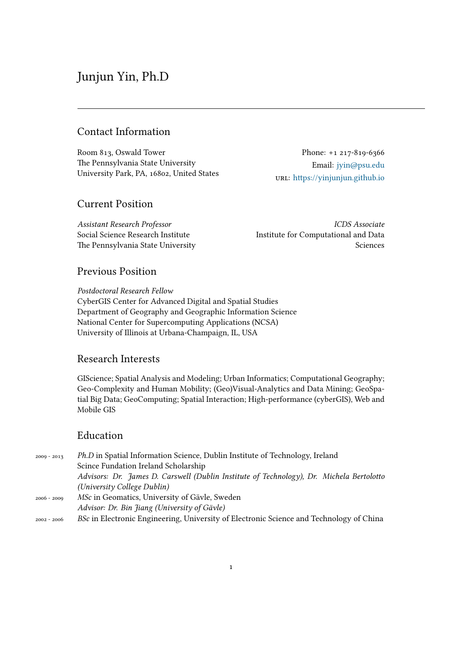# Junjun Yin, Ph.D

# Contact Information

Room 813, Oswald Tower The Pennsylvania State University University Park, PA, 16802, United States

Phone: +1 217-819-6366 Email: jyin@psu.edu url: https://yinjunjun.github.io

# Current Position

*Assistant Research Professor* Social Science Research Institute The Pennsylvania State University

*[ICDS Associate](https://yinjunjun.github.io)* Institute for Computational and Data Sciences

# Previous Position

*Postdoctoral Research Fellow* CyberGIS Center for Advanced Digital and Spatial Studies Department of Geography and Geographic Information Science National Center for Supercomputing Applications (NCSA) University of Illinois at Urbana-Champaign, IL, USA

### Research Interests

GIScience; Spatial Analysis and Modeling; Urban Informatics; Computational Geography; Geo-Complexity and Human Mobility; (Geo)Visual-Analytics and Data Mining; GeoSpatial Big Data; GeoComputing; Spatial Interaction; High-performance (cyberGIS), Web and Mobile GIS

# Education

2009 - 2013 *Ph.D* in Spatial Information Science, Dublin Institute of Technology, Ireland Scince Fundation Ireland Scholarship *Advisors: Dr. James D. Carswell (Dublin Institute of Technology), Dr. Michela Bertolotto (University College Dublin)* 2006 - 2009 *MSc* in Geomatics, University of Gävle, Sweden *Advisor: Dr. Bin Jiang (University of Gävle)* 2002 - 2006 *BSc* in Electronic Engineering, University of Electronic Science and Technology of China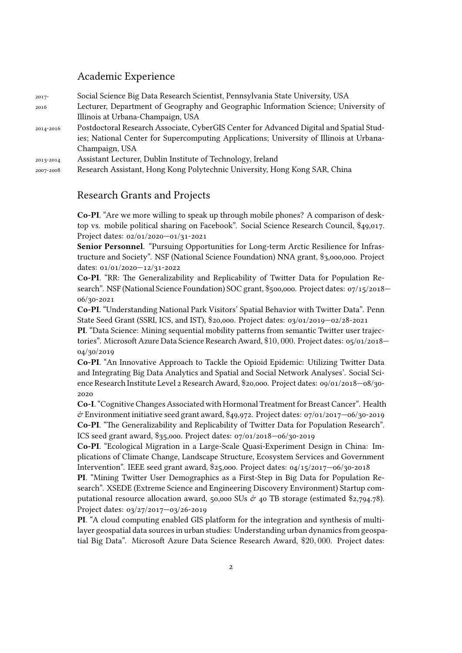### Academic Experience

| $2017-$   | Social Science Big Data Research Scientist, Pennsylvania State University, USA          |
|-----------|-----------------------------------------------------------------------------------------|
| 2016      | Lecturer, Department of Geography and Geographic Information Science; University of     |
|           | Illinois at Urbana-Champaign, USA                                                       |
| 2014-2016 | Postdoctoral Research Associate, CyberGIS Center for Advanced Digital and Spatial Stud- |
|           | ies; National Center for Supercomputing Applications; University of Illinois at Urbana- |
|           | Champaign, USA                                                                          |
| 2013-2014 | Assistant Lecturer, Dublin Institute of Technology, Ireland                             |
| 2007-2008 | Research Assistant, Hong Kong Polytechnic University, Hong Kong SAR, China              |

### Research Grants and Projects

**Co-PI**. "Are we more willing to speak up through mobile phones? A comparison of desktop vs. mobile political sharing on Facebook". Social Science Research Council, \$49,017. Project dates: 02/01/2020—01/31-2021

**Senior Personnel**. "Pursuing Opportunities for Long-term Arctic Resilience for Infrastructure and Society". NSF (National Science Foundation) NNA grant, \$3,000,000. Project dates: 01/01/2020—12/31-2022

**Co-PI**. "RR: The Generalizability and Replicability of Twitter Data for Population Research". NSF (National Science Foundation) SOC grant, \$500,000. Project dates: 07/15/2018— 06/30-2021

**Co-PI**. "Understanding National Park Visitors' Spatial Behavior with Twitter Data". Penn State Seed Grant (SSRI, ICS, and IST), \$20,000. Project dates: 03/01/2019—02/28-2021

**PI**. "Data Science: Mining sequential mobility patterns from semantic Twitter user trajectories". Microsoft Azure Data Science Research Award, \$10*,* 000. Project dates: 05/01/2018— 04/30/2019

**Co-PI**. "An Innovative Approach to Tackle the Opioid Epidemic: Utilizing Twitter Data and Integrating Big Data Analytics and Spatial and Social Network Analyses'. Social Science Research Institute Level 2 Research Award, \$20,000. Project dates: 09/01/2018—08/30- 2020

**Co-I**. "Cognitive Changes Associated with Hormonal Treatment for Breast Cancer". Health  $\acute{\sigma}$  Environment initiative seed grant award, \$49,972. Project dates: 07/01/2017–06/30-2019 **Co-PI**. "The Generalizability and Replicability of Twitter Data for Population Research". ICS seed grant award, \$35,000. Project dates: 07/01/2018—06/30-2019

**Co-PI**. "Ecological Migration in a Large-Scale Quasi-Experiment Design in China: Implications of Climate Change, Landscape Structure, Ecosystem Services and Government Intervention". IEEE seed grant award, \$25,000. Project dates: 04/15/2017—06/30-2018

**PI**. "Mining Twitter User Demographics as a First-Step in Big Data for Population Research". XSEDE (Extreme Science and Engineering Discovery Environment) Startup computational resource allocation award, 50,000 SUs  $\dot{\sigma}$  40 TB storage (estimated \$2,794.78). Project dates: 03/27/2017—03/26-2019

**PI**. "A cloud computing enabled GIS platform for the integration and synthesis of multilayer geospatial data sources in urban studies: Understanding urban dynamics from geospatial Big Data". Microsoft Azure Data Science Research Award, \$20*,* 000. Project dates: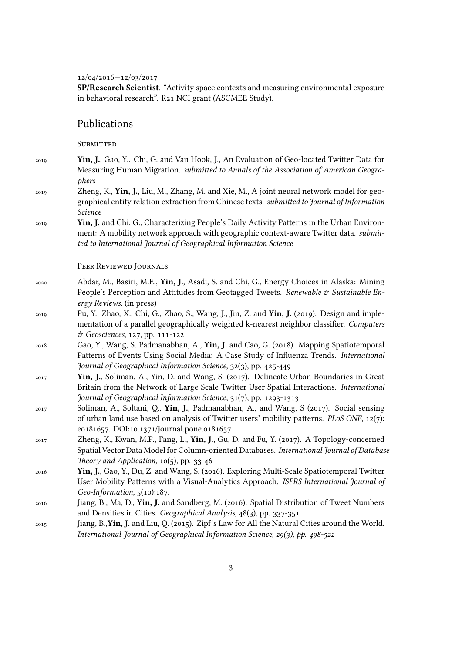12/04/2016—12/03/2017

**SP/Research Scientist**. "Activity space contexts and measuring environmental exposure in behavioral research". R21 NCI grant (ASCMEE Study).

### Publications

**SUBMITTED** 

- 2019 **Yin, J.**, Gao, Y.. Chi, G. and Van Hook, J., An Evaluation of Geo-located Twitter Data for Measuring Human Migration. *submitted to Annals of the Association of American Geographers*
- 2019 Zheng, K., **Yin, J.**, Liu, M., Zhang, M. and Xie, M., A joint neural network model for geographical entity relation extraction from Chinese texts. *submitted to Journal of Information Science*
- 2019 **Yin, J.** and Chi, G., Characterizing People's Daily Activity Patterns in the Urban Environment: A mobility network approach with geographic context-aware Twitter data. *submitted to International Journal of Geographical Information Science*

#### Peer Reviewed Journals

- 2020 Abdar, M., Basiri, M.E., **Yin, J.**, Asadi, S. and Chi, G., Energy Choices in Alaska: Mining People's Perception and Attitudes from Geotagged Tweets. *Renewable* & Sustainable En*ergy Reviews*, (in press)
- 2019 Pu, Y., Zhao, X., Chi, G., Zhao, S., Wang, J., Jin, Z. and **Yin, J.** (2019). Design and implementation of a parallel geographically weighted k-nearest neighbor classifier. *Computers* & *Geosciences*, 127, pp. 111-122
- 2018 Gao, Y., Wang, S. Padmanabhan, A., **Yin, J.** and Cao, G. (2018). Mapping Spatiotemporal Patterns of Events Using Social Media: A Case Study of Influenza Trends. *International Journal of Geographical Information Science*, 32(3), pp. 425-449
- 2017 **Yin, J.**, Soliman, A., Yin, D. and Wang, S. (2017). Delineate Urban Boundaries in Great Britain from the Network of Large Scale Twitter User Spatial Interactions. *International Journal of Geographical Information Science*, 31(7), pp. 1293-1313
- 2017 Soliman, A., Soltani, Q., **Yin, J.**, Padmanabhan, A., and Wang, S (2017). Social sensing of urban land use based on analysis of Twitter users' mobility patterns. *PLoS ONE*, 12(7): e0181657. DOI:10.1371/journal.pone.0181657
- 2017 Zheng, K., Kwan, M.P., Fang, L., **Yin, J.**, Gu, D. and Fu, Y. (2017). A Topology-concerned Spatial Vector Data Model for Column-oriented Databases. *International Journal of Database Theory and Application*, 10(5), pp. 33-46
- 2016 **Yin, J.**, Gao, Y., Du, Z. and Wang, S. (2016). Exploring Multi-Scale Spatiotemporal Twitter User Mobility Patterns with a Visual-Analytics Approach. *ISPRS International Journal of Geo-Information*, 5(10):187.
- 2016 Jiang, B., Ma, D., **Yin, J.** and Sandberg, M. (2016). Spatial Distribution of Tweet Numbers and Densities in Cities. *Geographical Analysis*, 48(3), pp. 337-351
- 2015 Jiang, B.,**Yin, J.** and Liu, Q. (2015). Zipf's Law for All the Natural Cities around the World. *International Journal of Geographical Information Science, 29(3), pp. 498-522*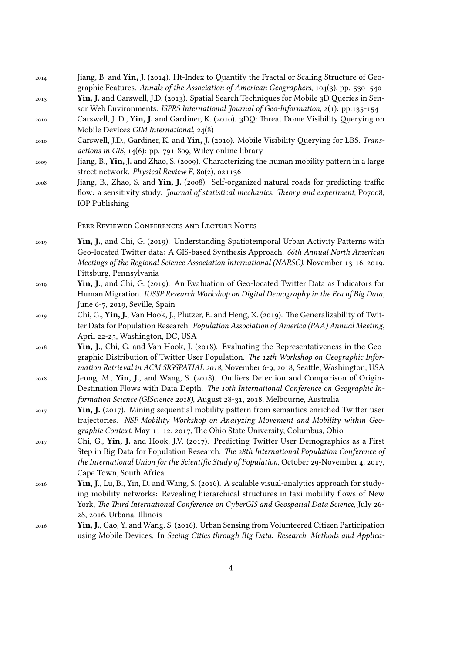| 2014 | Jiang, B. and Yin, J. (2014). Ht-Index to Quantify the Fractal or Scaling Structure of Geo- |
|------|---------------------------------------------------------------------------------------------|
|      | graphic Features. Annals of the Association of American Geographers, $104(3)$ , pp. 530-540 |
| 2013 | Yin, J. and Carswell, J.D. (2013). Spatial Search Techniques for Mobile 3D Queries in Sen-  |

- sor Web Environments. *ISPRS International Journal of Geo-Information*, 2(1): pp.135-154 2010 Carswell, J. D., **Yin, J.** and Gardiner, K. (2010). 3DQ: Threat Dome Visibility Querying on Mobile Devices *GIM International*, 24(8)
- 2010 Carswell, J.D., Gardiner, K. and **Yin, J.** (2010). Mobile Visibility Querying for LBS. *Transactions in GIS*, 14(6): pp. 791-809, Wiley online library
- 2009 Jiang, B., **Yin, J.** and Zhao, S. (2009). Characterizing the human mobility pattern in a large street network. *Physical Review E*, 80(2), 021136
- 2008 Jiang, B., Zhao, S. and **Yin, J.** (2008). Self-organized natural roads for predicting traffic flow: a sensitivity study. *Journal of statistical mechanics: Theory and experiment*, P07008, IOP Publishing

#### Peer Reviewed Conferences and Lecture Notes

- 2019 **Yin, J.**, and Chi, G. (2019). Understanding Spatiotemporal Urban Activity Patterns with Geo-located Twitter data: A GIS-based Synthesis Approach. *66th Annual North American Meetings of the Regional Science Association International (NARSC)*, November 13-16, 2019, Pittsburg, Pennsylvania
- 2019 **Yin, J.**, and Chi, G. (2019). An Evaluation of Geo-located Twitter Data as Indicators for Human Migration. *IUSSP Research Workshop on Digital Demography in the Era of Big Data*, June 6-7, 2019, Seville, Spain
- 2019 Chi, G., **Yin, J.**, Van Hook, J., Plutzer, E. and Heng, X. (2019). The Generalizability of Twitter Data for Population Research. *Population Association of America (PAA) Annual Meeting*, April 22-25, Washington, DC, USA
- 2018 **Yin, J.**, Chi, G. and Van Hook, J. (2018). Evaluating the Representativeness in the Geographic Distribution of Twitter User Population. *The 12th Workshop on Geographic Information Retrieval in ACM SIGSPATIAL 2018*, November 6-9, 2018, Seattle, Washington, USA
- 2018 Jeong, M., **Yin, J.**, and Wang, S. (2018). Outliers Detection and Comparison of Origin-Destination Flows with Data Depth. *The 10th International Conference on Geographic Information Science (GIScience 2018)*, August 28-31, 2018, Melbourne, Australia
- 2017 **Yin, J.** (2017). Mining sequential mobility pattern from semantics enriched Twitter user trajectories. *NSF Mobility Workshop on Analyzing Movement and Mobility within Geographic Context*, May 11-12, 2017, The Ohio State University, Columbus, Ohio
- 2017 Chi, G., **Yin, J.** and Hook, J.V. (2017). Predicting Twitter User Demographics as a First Step in Big Data for Population Research. *The 28th International Population Conference of the International Union for the Scientific Study of Population*, October 29-November 4, 2017, Cape Town, South Africa
- 2016 **Yin, J.**, Lu, B., Yin, D. and Wang, S. (2016). A scalable visual-analytics approach for studying mobility networks: Revealing hierarchical structures in taxi mobility flows of New York, *The Third International Conference on CyberGIS and Geospatial Data Science*, July 26- 28, 2016, Urbana, Illinois
- 2016 **Yin, J.**, Gao, Y. and Wang, S. (2016). Urban Sensing from Volunteered Citizen Participation using Mobile Devices. In *Seeing Cities through Big Data: Research, Methods and Applica-*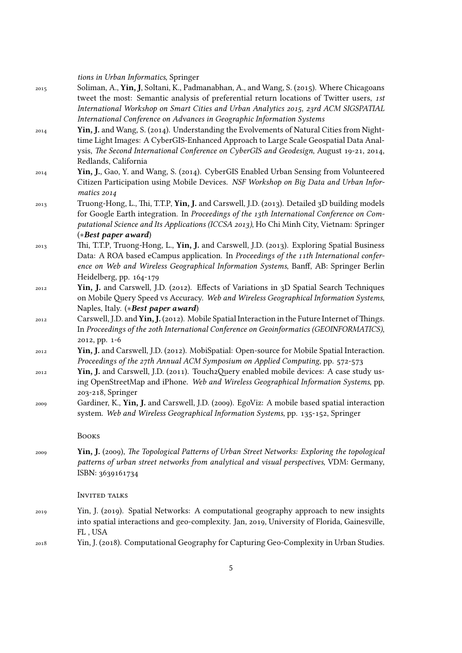*tions in Urban Informatics*, Springer

- 2015 Soliman, A., **Yin, J**, Soltani, K., Padmanabhan, A., and Wang, S. (2015). Where Chicagoans tweet the most: Semantic analysis of preferential return locations of Twitter users, *1st International Workshop on Smart Cities and Urban Analytics 2015, 23rd ACM SIGSPATIAL International Conference on Advances in Geographic Information Systems*
- 2014 **Yin, J.** and Wang, S. (2014). Understanding the Evolvements of Natural Cities from Nighttime Light Images: A CyberGIS-Enhanced Approach to Large Scale Geospatial Data Analysis, *The Second International Conference on CyberGIS and Geodesign*, August 19-21, 2014, Redlands, California
- 2014 **Yin, J.**, Gao, Y. and Wang, S. (2014). CyberGIS Enabled Urban Sensing from Volunteered Citizen Participation using Mobile Devices. *NSF Workshop on Big Data and Urban Informatics 2014*
- 2013 Truong-Hong, L., Thi, T.T.P, **Yin, J.** and Carswell, J.D. (2013). Detailed 3D building models for Google Earth integration. In *Proceedings of the 13th International Conference on Computational Science and Its Applications (ICCSA 2013)*, Ho Chi Minh City, Vietnam: Springer (*∗Best paper award*)
- 2013 Thi, T.T.P, Truong-Hong, L., **Yin, J.** and Carswell, J.D. (2013). Exploring Spatial Business Data: A ROA based eCampus application. In *Proceedings of the 11th International conference on Web and Wireless Geographical Information Systems*, Banff, AB: Springer Berlin Heidelberg, pp. 164-179
- 2012 **Yin, J.** and Carswell, J.D. (2012). Effects of Variations in 3D Spatial Search Techniques on Mobile Query Speed vs Accuracy. *Web and Wireless Geographical Information Systems*, Naples, Italy. (*∗Best paper award*)
- 2012 Carswell, J.D. and **Yin, J.** (2012). Mobile Spatial Interaction in the Future Internet ofThings. In *Proceedings of the 20th International Conference on Geoinformatics (GEOINFORMATICS)*, 2012, pp. 1-6
- 2012 **Yin, J.** and Carswell, J.D. (2012). MobiSpatial: Open-source for Mobile Spatial Interaction. *Proceedings of the 27th Annual ACM Symposium on Applied Computing*, pp. 572-573
- 2012 **Yin, J.** and Carswell, J.D. (2011). Touch2Query enabled mobile devices: A case study using OpenStreetMap and iPhone. *Web and Wireless Geographical Information Systems*, pp. 203-218, Springer
- 2009 Gardiner, K., **Yin, J.** and Carswell, J.D. (2009). EgoViz: A mobile based spatial interaction system. *Web and Wireless Geographical Information Systems*, pp. 135-152, Springer

Books

2009 **Yin, J.** (2009), *The Topological Patterns of Urban Street Networks: Exploring the topological patterns of urban street networks from analytical and visual perspectives*, VDM: Germany, ISBN: 3639161734

#### INVITED TALKS

- 2019 Yin, J. (2019). Spatial Networks: A computational geography approach to new insights into spatial interactions and geo-complexity. Jan, 2019, University of Florida, Gainesville, FL , USA
- 2018 Yin, J. (2018). Computational Geography for Capturing Geo-Complexity in Urban Studies.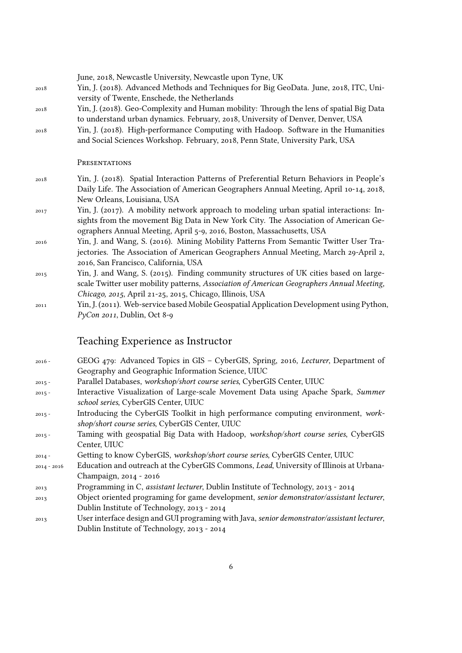June, 2018, Newcastle University, Newcastle upon Tyne, UK

- 2018 Yin, J. (2018). Advanced Methods and Techniques for Big GeoData. June, 2018, ITC, University of Twente, Enschede, the Netherlands
- 2018 Yin, J. (2018). Geo-Complexity and Human mobility: Through the lens of spatial Big Data to understand urban dynamics. February, 2018, University of Denver, Denver, USA
- 2018 Yin, J. (2018). High-performance Computing with Hadoop. Software in the Humanities and Social Sciences Workshop. February, 2018, Penn State, University Park, USA

#### PRESENTATIONS

- 2018 Yin, J. (2018). Spatial Interaction Patterns of Preferential Return Behaviors in People's Daily Life. The Association of American Geographers Annual Meeting, April 10-14, 2018, New Orleans, Louisiana, USA
- 2017 Yin, J. (2017). A mobility network approach to modeling urban spatial interactions: Insights from the movement Big Data in New York City. The Association of American Geographers Annual Meeting, April 5-9, 2016, Boston, Massachusetts, USA
- 2016 Yin, J. and Wang, S. (2016). Mining Mobility Patterns From Semantic Twitter User Trajectories. The Association of American Geographers Annual Meeting, March 29-April 2, 2016, San Francisco, California, USA
- 2015 Yin, J. and Wang, S. (2015). Finding community structures of UK cities based on largescale Twitter user mobility patterns, *Association of American Geographers Annual Meeting, Chicago, 2015*, April 21-25, 2015, Chicago, Illinois, USA
- 2011 Yin, J. (2011). Web-service based Mobile Geospatial Application Development using Python, *PyCon 2011*, Dublin, Oct 8-9

### Teaching Experience as Instructor

- 2016 GEOG 479: Advanced Topics in GIS CyberGIS, Spring, 2016, *Lecturer*, Department of Geography and Geographic Information Science, UIUC
- 2015 Parallel Databases, *workshop/short course series*, CyberGIS Center, UIUC
- 2015 Interactive Visualization of Large-scale Movement Data using Apache Spark, *Summer school series*, CyberGIS Center, UIUC
- 2015 Introducing the CyberGIS Toolkit in high performance computing environment, *workshop/short course series*, CyberGIS Center, UIUC
- 2015 Taming with geospatial Big Data with Hadoop, *workshop/short course series*, CyberGIS Center, UIUC
- 2014 Getting to know CyberGIS, *workshop/short course series*, CyberGIS Center, UIUC
- 2014 2016 Education and outreach at the CyberGIS Commons, *Lead*, University of Illinois at Urbana-Champaign, 2014 - 2016
- 2013 Programming in C, *assistant lecturer*, Dublin Institute of Technology, 2013 2014
- 2013 Object oriented programing for game development, *senior demonstrator/assistant lecturer*, Dublin Institute of Technology, 2013 - 2014
- 2013 User interface design and GUI programing with Java, *senior demonstrator/assistant lecturer*, Dublin Institute of Technology, 2013 - 2014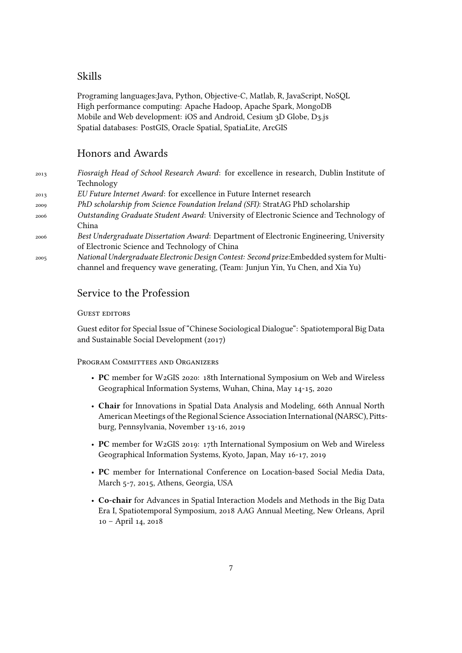# Skills

Programing languages:Java, Python, Objective-C, Matlab, R, JavaScript, NoSQL High performance computing: Apache Hadoop, Apache Spark, MongoDB Mobile and Web development: iOS and Android, Cesium 3D Globe, D3.js Spatial databases: PostGIS, Oracle Spatial, SpatiaLite, ArcGIS

# Honors and Awards

| 2013 | Fiosraigh Head of School Research Award: for excellence in research, Dublin Institute of                                                                                                                                                                                           |
|------|------------------------------------------------------------------------------------------------------------------------------------------------------------------------------------------------------------------------------------------------------------------------------------|
|      | Technology                                                                                                                                                                                                                                                                         |
| 2013 | EU Future Internet Award: for excellence in Future Internet research                                                                                                                                                                                                               |
| 2009 | PhD scholarship from Science Foundation Ireland (SFI): StratAG PhD scholarship                                                                                                                                                                                                     |
| 2006 | Outstanding Graduate Student Award: University of Electronic Science and Technology of                                                                                                                                                                                             |
|      | China                                                                                                                                                                                                                                                                              |
| 2006 | Best Undergraduate Dissertation Award: Department of Electronic Engineering, University                                                                                                                                                                                            |
|      | of Electronic Science and Technology of China                                                                                                                                                                                                                                      |
|      | $\mathbf{M}$ , the distribution of the contract of $\mathbf{D}$ , the contract of the contract $\mathbf{D}$ and $\mathbf{L}$ and $\mathbf{L}$ and $\mathbf{L}$ and $\mathbf{L}$ and $\mathbf{L}$ and $\mathbf{L}$ and $\mathbf{L}$ and $\mathbf{L}$ and $\mathbf{L}$ and $\mathbf$ |

2005 *National Undergraduate Electronic Design Contest: Second prize*:Embedded system for Multichannel and frequency wave generating, (Team: Junjun Yin, Yu Chen, and Xia Yu)

### Service to the Profession

### GUEST EDITORS

Guest editor for Special Issue of "Chinese Sociological Dialogue": Spatiotemporal Big Data and Sustainable Social Development (2017)

#### PROGRAM COMMITTEES AND ORGANIZERS

- **PC** member for W2GIS 2020: 18th International Symposium on Web and Wireless Geographical Information Systems, Wuhan, China, May 14-15, 2020
- **Chair** for Innovations in Spatial Data Analysis and Modeling, 66th Annual North American Meetings of the Regional Science Association International (NARSC), Pittsburg, Pennsylvania, November 13-16, 2019
- **PC** member for W2GIS 2019: 17th International Symposium on Web and Wireless Geographical Information Systems, Kyoto, Japan, May 16-17, 2019
- **PC** member for International Conference on Location-based Social Media Data, March 5-7, 2015, Athens, Georgia, USA
- **Co-chair** for Advances in Spatial Interaction Models and Methods in the Big Data Era I, Spatiotemporal Symposium, 2018 AAG Annual Meeting, New Orleans, April 10 – April 14, 2018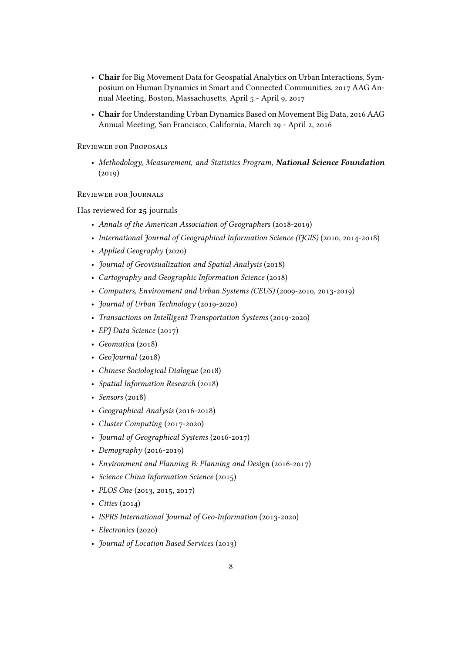- **Chair** for Big Movement Data for Geospatial Analytics on Urban Interactions, Symposium on Human Dynamics in Smart and Connected Communities, 2017 AAG Annual Meeting, Boston, Massachusetts, April 5 - April 9, 2017
- **Chair** for Understanding Urban Dynamics Based on Movement Big Data, 2016 AAG Annual Meeting, San Francisco, California, March 29 - April 2, 2016

#### Reviewer for Proposals

• *Methodology, Measurement, and Statistics Program, National Science Foundation* (2019)

#### Reviewer for Journals

#### Has reviewed for **25** journals

- *Annals of the American Association of Geographers* (2018-2019)
- *International Journal of Geographical Information Science (IJGIS)* (2010, 2014-2018)
- *Applied Geography* (2020)
- *Journal of Geovisualization and Spatial Analysis* (2018)
- *Cartography and Geographic Information Science* (2018)
- *Computers, Environment and Urban Systems (CEUS)* (2009-2010, 2013-2019)
- *Journal of Urban Technology* (2019-2020)
- *Transactions on Intelligent Transportation Systems* (2019-2020)
- *EPJ Data Science* (2017)
- *Geomatica* (2018)
- *GeoJournal* (2018)
- *Chinese Sociological Dialogue* (2018)
- *Spatial Information Research* (2018)
- *Sensors* (2018)
- *Geographical Analysis* (2016-2018)
- *Cluster Computing* (2017-2020)
- *Journal of Geographical Systems* (2016-2017)
- *Demography* (2016-2019)
- *Environment and Planning B: Planning and Design* (2016-2017)
- *Science China Information Science* (2015)
- *PLOS One* (2013, 2015, 2017)
- *Cities* (2014)
- *ISPRS International Journal of Geo-Information* (2013-2020)
- *Electronics* (2020)
- *Journal of Location Based Services* (2013)